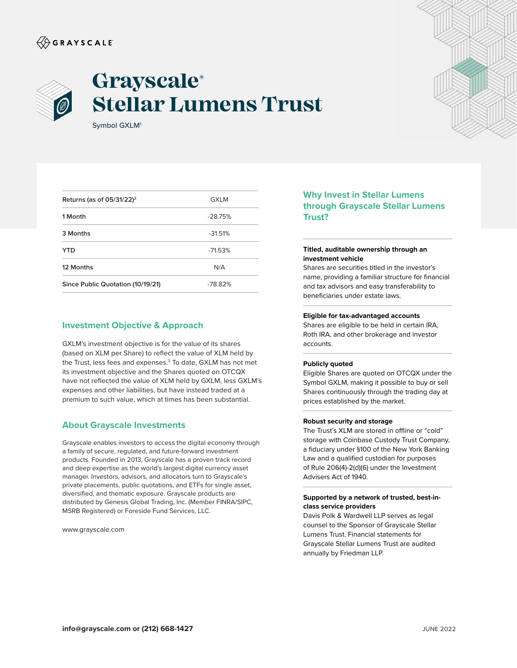# $\langle\!\!\!\langle\hat{\mathbin{\hspace{1.5pt}\circ}}$  G R A Y S C A L E



# **Grayscale® Stellar Lumens Trust**

Symbol GXLM1

| Returns (as of $05/31/22$ ) <sup>2</sup> | <b>GXLM</b> |
|------------------------------------------|-------------|
| 1 Month                                  | $-28.75%$   |
| 3 Months                                 | $-31.51%$   |
| YTD                                      | $-71.53%$   |
| 12 Months                                | N/A         |
| Since Public Quotation (10/19/21)        | $-78.82%$   |

## **Investment Objective & Approach**

GXLM's investment objective is for the value of its shares (based on XLM per Share) to reflect the value of XLM held by the Trust, less fees and expenses.<sup>3</sup> To date, GXLM has not met its investment objective and the Shares quoted on OTCQX have not reflected the value of XLM held by GXLM, less GXLM's expenses and other liabilities, but have instead traded at a premium to such value, which at times has been substantial.

### **About Grayscale Investments**

Grayscale enables investors to access the digital economy through a family of secure, regulated, and future-forward investment products. Founded in 2013, Grayscale has a proven track record and deep expertise as the world's largest digital currency asset manager. Investors, advisors, and allocators turn to Grayscale's private placements, public quotations, and ETFs for single asset, diversified, and thematic exposure. Grayscale products are distributed by Genesis Global Trading, Inc. (Member FINRA/SIPC, MSRB Registered) or Foreside Fund Services, LLC.

www.grayscale.com

# **Why Invest in Stellar Lumens through Grayscale Stellar Lumens Trust?**

#### **Titled, auditable ownership through an investment vehicle**

Shares are securities titled in the investor's name, providing a familiar structure for financial and tax advisors and easy transferability to beneficiaries under estate laws.

#### **Eligible for tax-advantaged accounts**

Shares are eligible to be held in certain IRA, Roth IRA, and other brokerage and investor accounts.

#### **Publicly quoted**

Eligible Shares are quoted on OTCQX under the Symbol GXLM, making it possible to buy or sell Shares continuously through the trading day at prices established by the market.

#### **Robust security and storage**

The Trust's XLM are stored in offline or "cold" storage with Coinbase Custody Trust Company, a fiduciary under §100 of the New York Banking Law and a qualified custodian for purposes of Rule 206(4)-2(d)(6) under the Investment Advisers Act of 1940.

#### **Supported by a network of trusted, best-inclass service providers**

Davis Polk & Wardwell LLP serves as legal counsel to the Sponsor of Grayscale Stellar Lumens Trust. Financial statements for Grayscale Stellar Lumens Trust are audited annually by Friedman LLP.